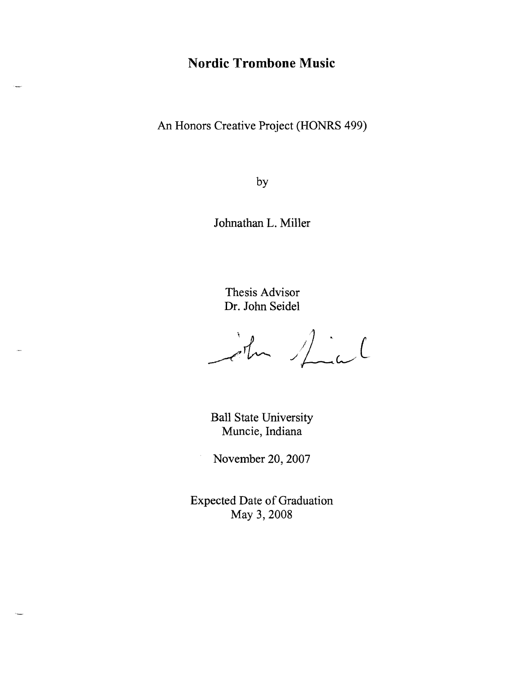# **Nordic Trombone Music**

An Honors Creative Project (HONRS 499)

by

Johnathan L. Miller

Thesis Advisor Dr. John Seidel

John Mial

Ball State University Muncie, Indiana

November 20,2007

Expected Date of Graduation May 3, 2008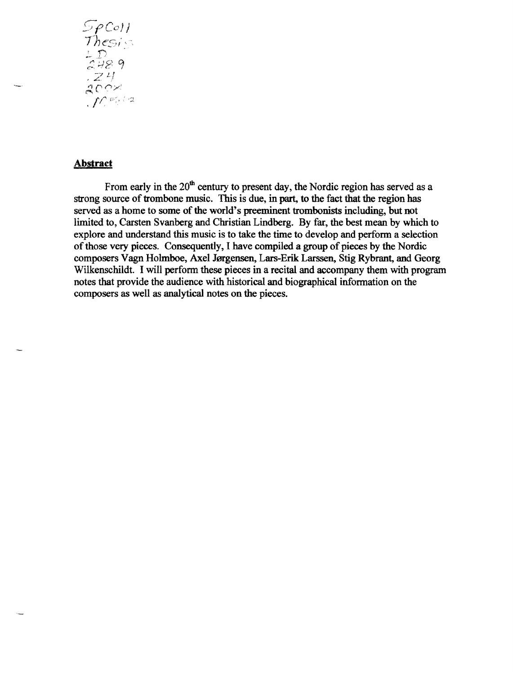$S_{P}^{col}$ 1)<br>48 9  $24$  $\int$   $\int$   $\int$   $\frac{1}{2}$ 

## **Abstract**

From early in the  $20<sup>th</sup>$  century to present day, the Nordic region has served as a strong source of trombone music. This is due, in part, to the fact that the region has served as a home to some of the world's preeminent trombonists including, but not limited to, Carsten Svanberg and Christian Lindberg. By far, the best mean by which to explore and understand this music is to take the time to develop and perfonn a selection of those very pieces. Consequently, I have compiled a group of pieces by the Nordic composers Vagn Holmboe, Axel Jørgensen, Lars-Erik Larssen, Stig Rybrant, and Georg Wilkenschildt. I will perform these pieces in a recital and accompany them with program notes that provide the audience with historical and biographical information on the composers as well as analytical notes on the pieces.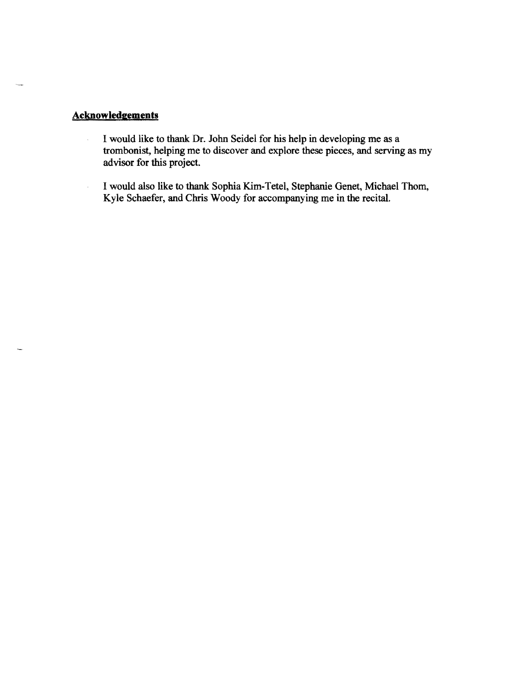# **Acknowledgements**

- I would like to thank Dr. John Seidel for his help in developing me as a  $\bar{\zeta}$ trombonist, helping me to discover and explore these pieces, and serving as my advisor for this project.
- I would also like to thank Sophia Kim-T etel, Stephanie Genet, Michael Thom, Kyle Schaefer, and Chris Woody for accompanying me in the recital.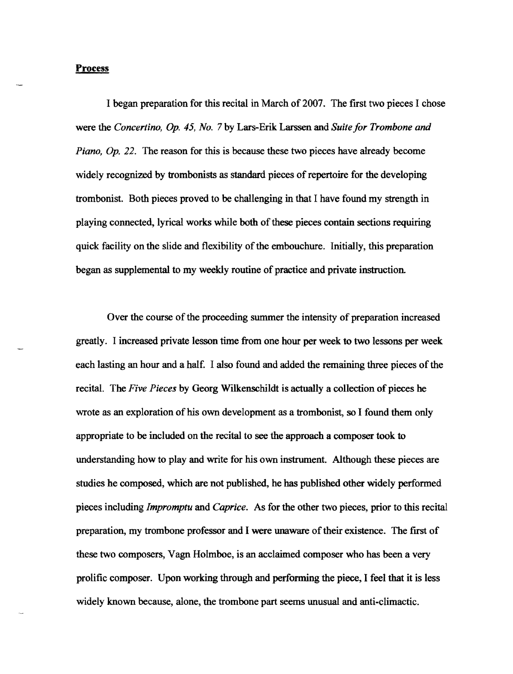#### **Proeess**

I began preparation for this recital in March of 2007. The first two pieces I chose were the *Concertino,* Op. 45, *No.* 7 by Lars-Erik Larssen and *Suite for Trombone and Piano, Op.22.* The reason for this is because these two pieces have already become widely recognized by trombonists as standard pieces of repertoire for the developing trombonist. Both pieces proved to be challenging in that I have found my strength in playing connected, lyrical works while both of these pieces contain sections requiring quick facility on the slide and flexibility of the embouchure. Initially, this preparation began as supplemental to my weekly routine of practice and private instruction.

Over the course of the proceeding summer the intensity of preparation increased greatly. I increased private lesson time from one hour per week to two lessons per week each lasting an hour and a half. I also found and added the remaining three pieces of the recital. The *Five Pieces* by Georg Wilkenschildt is actually a collection of pieces he wrote as an exploration of his own development as a trombonist, so I found them only appropriate to be included on the recital to see the approach a composer took to understanding how to play and write for his own instrument. Although these pieces are studies he composed, which are not published, he has published other widely performed pieces including *Impromptu* and *Caprice.* As for the other two pieces, prior to this recital preparation, my trombone professor and I were unaware of their existence. The first of these two composers, Vagn Holmboe, is an acclaimed composer who has been a very prolific composer. Upon working through and performing the piece, I feel that it is less widely known because, alone, the trombone part seems unusual and anti-climactic.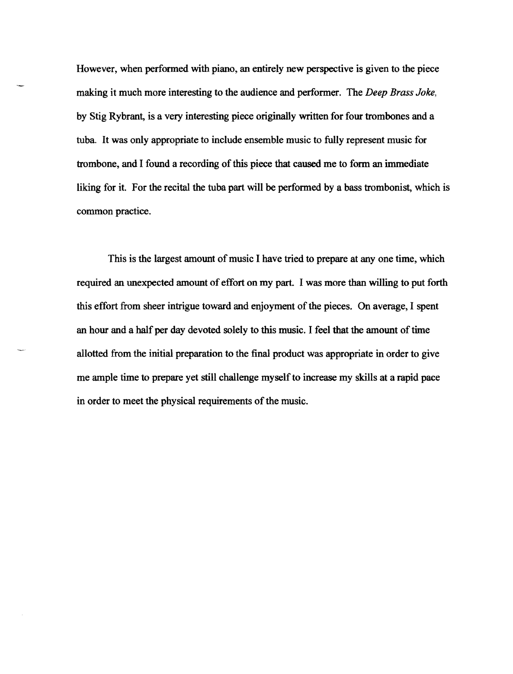However, when perfonned with piano, an entirely new perspective is given to the piece making it much more interesting to the audience and perfonner. The *Deep Brass Joke,*  by Stig Rybrant, is a very interesting piece originally written for four trombones and a tuba. It was only appropriate to include ensemble music to fully represent music for trombone, and I found a recording of this piece that caused me to fonn an immediate liking for it. For the recital the tuba part will be performed by a bass trombonist, which is common practice.

This is the largest amount of music I have tried to prepare at anyone time, which required an unexpected amount of effort on my part. I was more than willing to put forth this effort from sheer intrigue toward and enjoyment of the pieces. On average, I spent an hour and a half per day devoted solely to this music. I feel that the amount of time allotted from the initial preparation to the final product was appropriate in order to give me ample time to prepare yet still challenge myself to increase my skills at a rapid pace in order to meet the physical requirements of the music.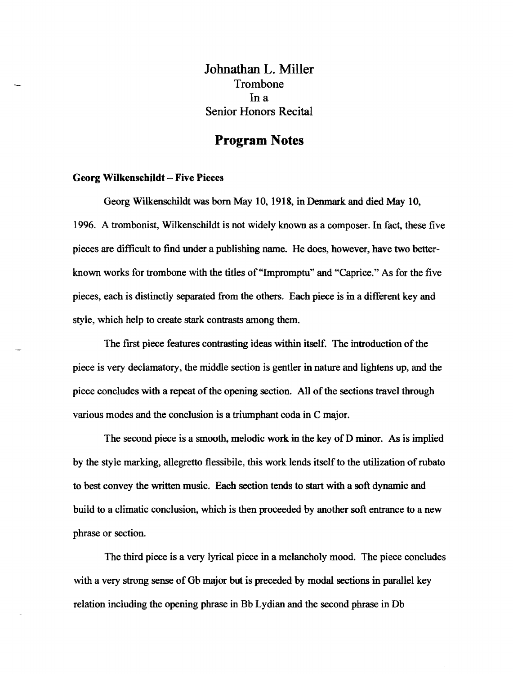lohnathan L. Miller Trombone Ina Senior Honors Recital

# **Program Notes**

#### Georg Wilkenschildt - Five Pieces

Georg Wilkenschildt was born May 10, 1918, in Denmark and died May 10, 1996. A trombonist, Wilkenschildt is not widely known as a composer. In fact, these five pieces are difficult to find under a publishing name. He does, however, have two betterknown works for trombone with the titles of "Impromptu" and "Caprice." As for the five pieces, each is distinctly separated from the others. Each piece is in a different key and style, which help to create stark contrasts among them.

The first piece features contrasting ideas within itself. The introduction of the piece is very declamatory, the middle section is gentler in nature and lightens up, and the piece concludes with a repeat of the opening section. All of the sections travel through various modes and the conclusion is a triumphant coda in C major.

The second piece is a smooth, melodic work in the key of D minor. As is implied by the style marking, allegretto flessibile, this work lends itself to the utilization ofrubato to best convey the written music. Each section tends to start with a soft dynamic and build to a climatic conclusion, which is then proceeded by another soft entrance to a new phrase or section.

The third piece is a very lyrical piece in a melancholy mood. The piece concludes with a very strong sense of Gb major but is preceded by modal sections in parallel key relation including the opening phrase in Bb Lydian and the second phrase in Db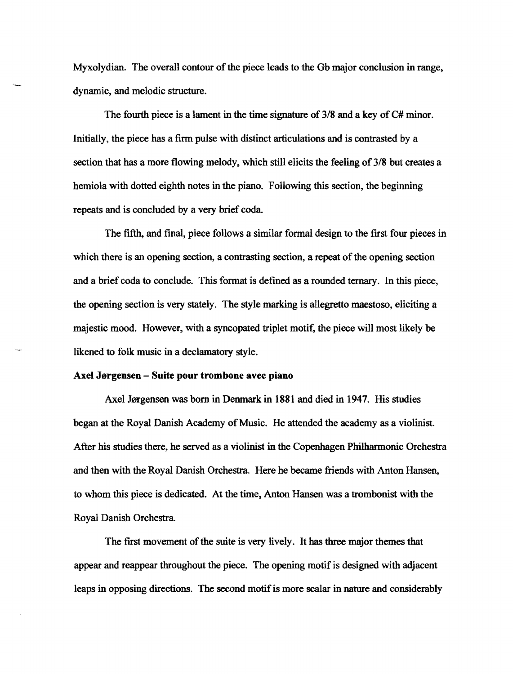Myxolydian. The overall contour of the piece leads to the Gb major conclusion in range, dynamic, and melodic structure.

The fourth piece is a lament in the time signature of 3/8 and a key of C# minor. Initially, the piece has a firm pulse with distinct articulations and is contrasted by a section that has a more flowing melody, which still elicits the feeling of 3/8 but creates a hemiola with dotted eighth notes in the piano. Following this section, the beginning repeats and is concluded by a very brief coda

The fifth, and final, piece follows a similar formal design to the first four pieces in which there is an opening section, a contrasting section, a repeat of the opening section and a brief coda to conclude. This format is defined as a rounded ternary. In this piece, the opening section is very stately. The style marking is allegretto maestoso, eliciting a majestic mood. However, with a syncopated triplet motif, the piece will most likely be likened to folk music in a declamatory style.

### Axel Jorgensen - Suite pour trombone avec piano

Axel Jørgensen was born in Denmark in 1881 and died in 1947. His studies began at the Royal Danish Academy of Music. He attended the academy as a violinist. After his studies there, he served as a violinist in the Copenhagen Philharmonic Orchestra and then with the Royal Danish Orchestra. Here he became friends with Anton Hansen, to whom this piece is dedicated. At the time, Anton Hansen was a trombonist with the Royal Danish Orchestra

The first movement of the suite is very lively. It has three major themes that appear and reappear throughout the piece. The opening motif is designed with adjacent leaps in opposing directions. The second motif is more scalar in nature and considerably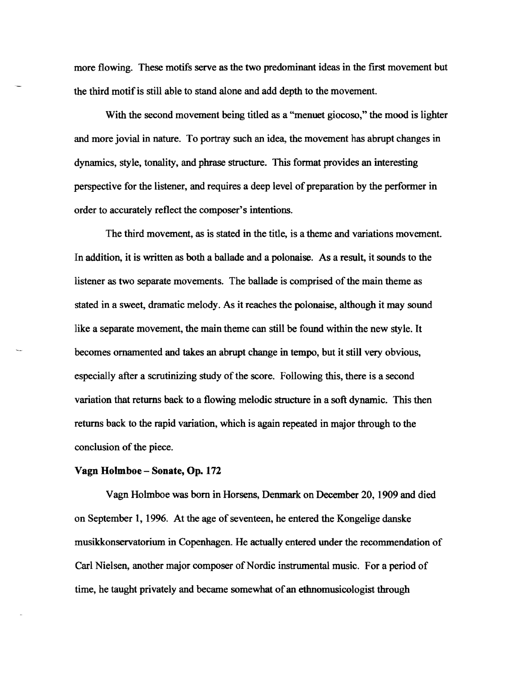more flowing. These motifs serve as the two predominant ideas in the first movement but the third motif is still able to stand alone and add depth to the movement.

With the second movement being titled as a "menuet giocoso," the mood is lighter and more jovial in nature. To portray such an idea, the movement has abrupt changes in dynamics, style, tonality, and phrase structure. This format provides an interesting perspective for the listener, and requires a deep level of preparation by the performer in order to accurately reflect the composer's intentions.

The third movement, as is stated in the title, is a theme and variations movement. In addition, it is written as both a ballade and a polonaise. As a result, it sounds to the listener as two separate movements. The ballade is comprised of the main theme as stated in a sweet, dramatic melody. As it reaches the polonaise, although it may sound like a separate movement, the main theme can still be found within the new style. It becomes ornamented and takes an abrupt change in tempo, but it still very obvious, especially after a scrutinizing study of the score. Following this, there is a second variation that returns back to a flowing melodic structure in a soft dynamic. This then returns back to the rapid variation, which is again repeated in major through to the conclusion of the piece.

### Vagn Holmboe - Sonate, Op. 172

Vagn Holmboe was born in Horsens, Denmark on December 20, 1909 and died on September 1, 1996. At the age of seventeen, he entered the Kongelige danske musikkonservatorium in Copenhagen. He actually entered under the recommendation of Carl Nielsen, another major composer of Nordic instrumental music. For a period of time, he taught privately and became somewhat of an ethnomusicologist through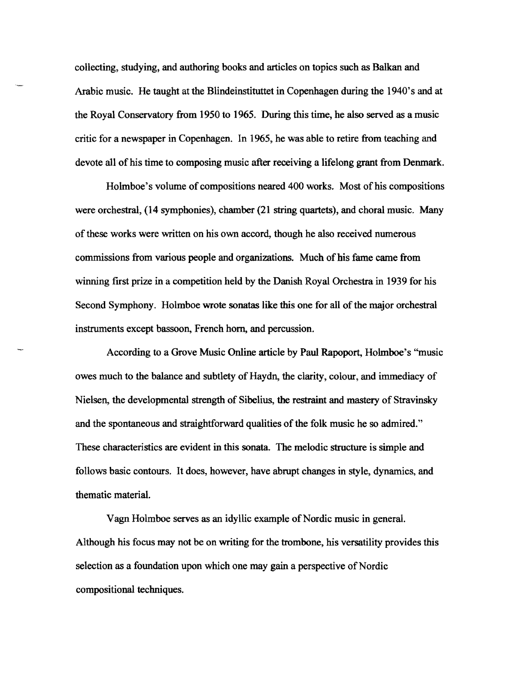collecting, studying, and authoring books and articles on topics such as Balkan and Arabic music. He taught at the Blindeinstituttet in Copenhagen during the 1940's and at the Royal Conservatory from 1950 to 1965. During this time, he also served as a music critic for a newspaper in Copenhagen. In 1965, he was able to retire from teaching and devote all of his time to composing music after receiving a lifelong grant from Denmark.

Holmboe's volume of compositions neared 400 works. Most of his compositions were orchestral, (14 symphonies), chamber (21 string quartets), and choral music. Many of these works were written on his own accord, though he also received numerous commissions from various people and organizations. Much of his fame came from winning first prize in a competition held by the Danish Royal Orchestra in 1939 for his Second Symphony. Holmboe wrote sonatas like this one for all of the major orchestral instruments except bassoon, French horn, and percussion.

According to a Grove Music Online article by Paul Rapoport, Holmboe's "music owes much to the balance and subtlety of Haydn, the clarity, colour, and immediacy of Nielsen, the developmental strength of Sibelius, the restraint and mastery of Stravinsky and the spontaneous and straightforward qualities of the folk music he so admired." These characteristics are evident in this sonata. The melodic structure is simple and follows basic contours. It does, however, have abrupt changes in style, dynamics, and thematic material.

Vagn Holmboe serves as an idyllic example of Nordic music in general. Although his focus may not be on writing for the trombone, his versatility provides this selection as a foundation upon which one may gain a perspective of Nordic compositional techniques.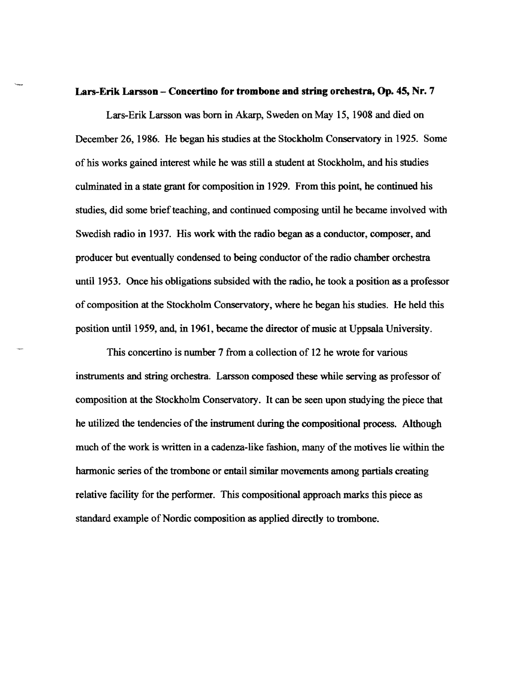#### **Lars-Erik Larsson - Coneertino for trombone and string orehestra, Op. 45, Nr.** 7

Lars-Erik Larsson was born in Akarp, Sweden on May 15, 1908 and died on December 26, 1986. He began his studies at the Stockholm Conservatory in 1925. Some of his works gained interest while he was still a student at Stockholm, and his studies culminated in a state grant for composition in 1929. From this point, he continued his studies, did some brief teaching, and continued composing until he became involved with Swedish radio in 1937. His work with the radio began as a conductor, composer, and producer but eventually condensed to being conductor of the radio chamber orchestra until 1953. Once his obligations subsided with the radio. he took a position as a professor of composition at the Stockholm Conservatory, where he began his studies. He held this position until 1959, and, in 1961, became the director of music at Uppsala University.

This concertino is number 7 from a collection of 12 he wrote for various instruments and string orchestra. Larsson composed these while serving as professor of composition at the Stockholm Conservatory. It can be seen upon studying the piece that he utilized the tendencies of the instrument during the compositional process. Although much of the work is written in a cadenza-like fashion, many of the motives lie within the harmonic series of the trombone or entail similar movements among partials creating relative facility for the performer. This compositional approach marks this piece as standard example of Nordic composition as applied directly to trombone.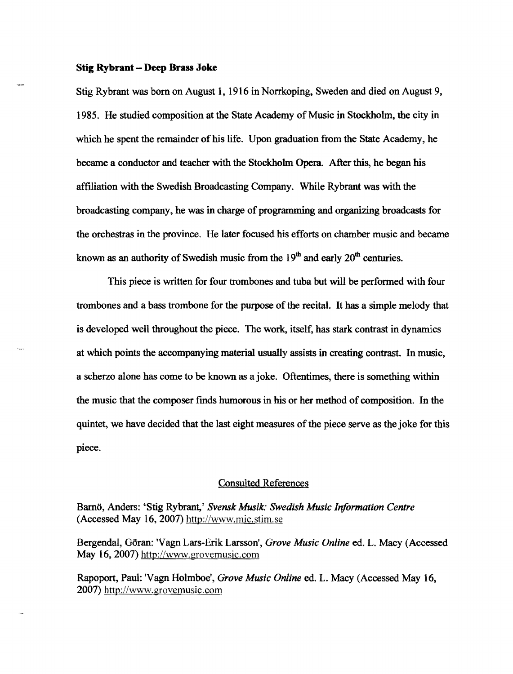#### Stig **Rybrant - Deep Brass Joke**

Stig Rybrant was born on August 1, 1916 in Norrkoping, Sweden and died on August 9, 1985. He studied composition at the State Academy of Music in Stockholm, the city in which he spent the remainder of his life. Upon graduation from the State Academy, he became a conductor and teacher with the Stockholm Opera. After this, he began his affiliation with the Swedish Broadcasting Company. While Rybrant was with the broadcasting company, he was in charge of programming and organizing broadcasts for the orchestras in the province. He later focused his efforts on chamber music and became known as an authority of Swedish music from the  $19<sup>th</sup>$  and early  $20<sup>th</sup>$  centuries.

This piece is written for four trombones and tuba but will be performed with four trombones and a bass trombone for the purpose of the recital. It has a simple melody that is developed well throughout the piece. The work, itself, has stark contrast in dynamics at which points the accompanying material usually assists in creating contrast. In music, a scherzo alone has come to be known as a joke. Oftentimes, there is something within the music that the composer fmds humorous in his or her method of composition. In the quintet, we have decided that the last eight measures of the piece serve as the joke for this piece.

### Consulted References

Barnö, Anders: 'Stig Rybrant,' *Svensk Musik: Swedish Music Information Centre* (Accessed May 16,2007) http://www.mic.stim.se

Bergendal, Goran: 'Vagn Lars-Erik Larsson" *Grove Music Online* ed. L. Macy (Accessed May 16, 2007) http://www.grovemusic.com

Rapoport, Paul: 'Vagn Holmboe', *Grove Music Online* ed. L. Macy (Accessed May 16, 2007) http://www.grovemusic.com